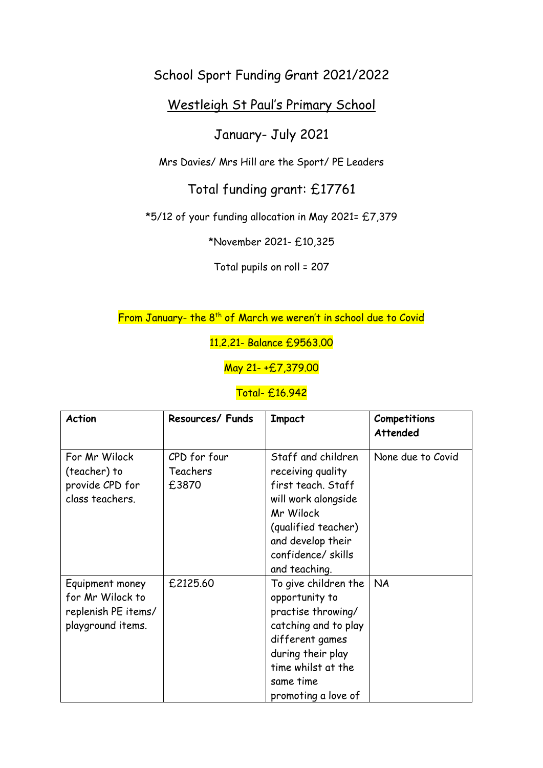## School Sport Funding Grant 2021/2022

## Westleigh St Paul's Primary School

## January- July 2021

Mrs Davies/ Mrs Hill are the Sport/ PE Leaders

Total funding grant: £17761

\*5/12 of your funding allocation in May 2021= £7,379

\*November 2021- £10,325

Total pupils on roll = 207

From January- the 8<sup>th</sup> of March we weren't in school due to Covid

11.2.21- Balance £9563.00

May 21- +£7,379.00

## Total- £16.942

| <b>Action</b>                                                                   | Resources/ Funds                  | <b>Impact</b>                                                                                                                                                                          | Competitions<br>Attended |
|---------------------------------------------------------------------------------|-----------------------------------|----------------------------------------------------------------------------------------------------------------------------------------------------------------------------------------|--------------------------|
| For Mr Wilock<br>(teacher) to<br>provide CPD for<br>class teachers.             | CPD for four<br>Teachers<br>£3870 | Staff and children<br>receiving quality<br>first teach. Staff<br>will work alongside<br>Mr Wilock<br>(qualified teacher)<br>and develop their<br>confidence/skills<br>and teaching.    | None due to Covid        |
| Equipment money<br>for Mr Wilock to<br>replenish PE items/<br>playground items. | £2125.60                          | To give children the<br>opportunity to<br>practise throwing/<br>catching and to play<br>different games<br>during their play<br>time whilst at the<br>same time<br>promoting a love of | <b>NA</b>                |